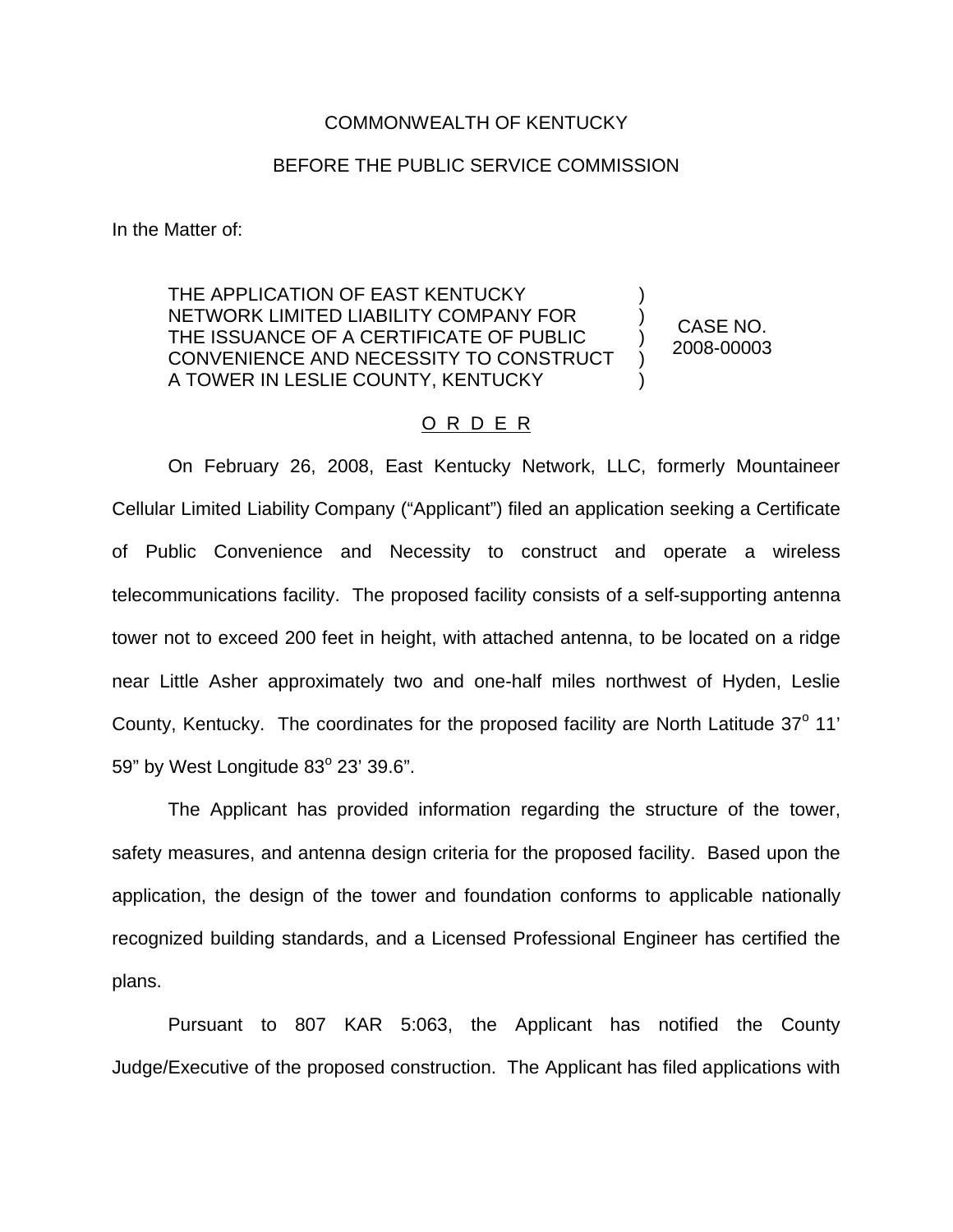## COMMONWEALTH OF KENTUCKY

## BEFORE THE PUBLIC SERVICE COMMISSION

In the Matter of:

THE APPLICATION OF EAST KENTUCKY NETWORK LIMITED LIABILITY COMPANY FOR THE ISSUANCE OF A CERTIFICATE OF PUBLIC CONVENIENCE AND NECESSITY TO CONSTRUCT A TOWER IN LESLIE COUNTY, KENTUCKY ) ) ) ) )

CASE NO. 2008-00003

## O R D E R

On February 26, 2008, East Kentucky Network, LLC, formerly Mountaineer Cellular Limited Liability Company ("Applicant") filed an application seeking a Certificate of Public Convenience and Necessity to construct and operate a wireless telecommunications facility. The proposed facility consists of a self-supporting antenna tower not to exceed 200 feet in height, with attached antenna, to be located on a ridge near Little Asher approximately two and one-half miles northwest of Hyden, Leslie County, Kentucky. The coordinates for the proposed facility are North Latitude  $37^\circ$  11' 59" by West Longitude  $83^{\circ}$  23' 39.6".

The Applicant has provided information regarding the structure of the tower, safety measures, and antenna design criteria for the proposed facility. Based upon the application, the design of the tower and foundation conforms to applicable nationally recognized building standards, and a Licensed Professional Engineer has certified the plans.

Pursuant to 807 KAR 5:063, the Applicant has notified the County Judge/Executive of the proposed construction. The Applicant has filed applications with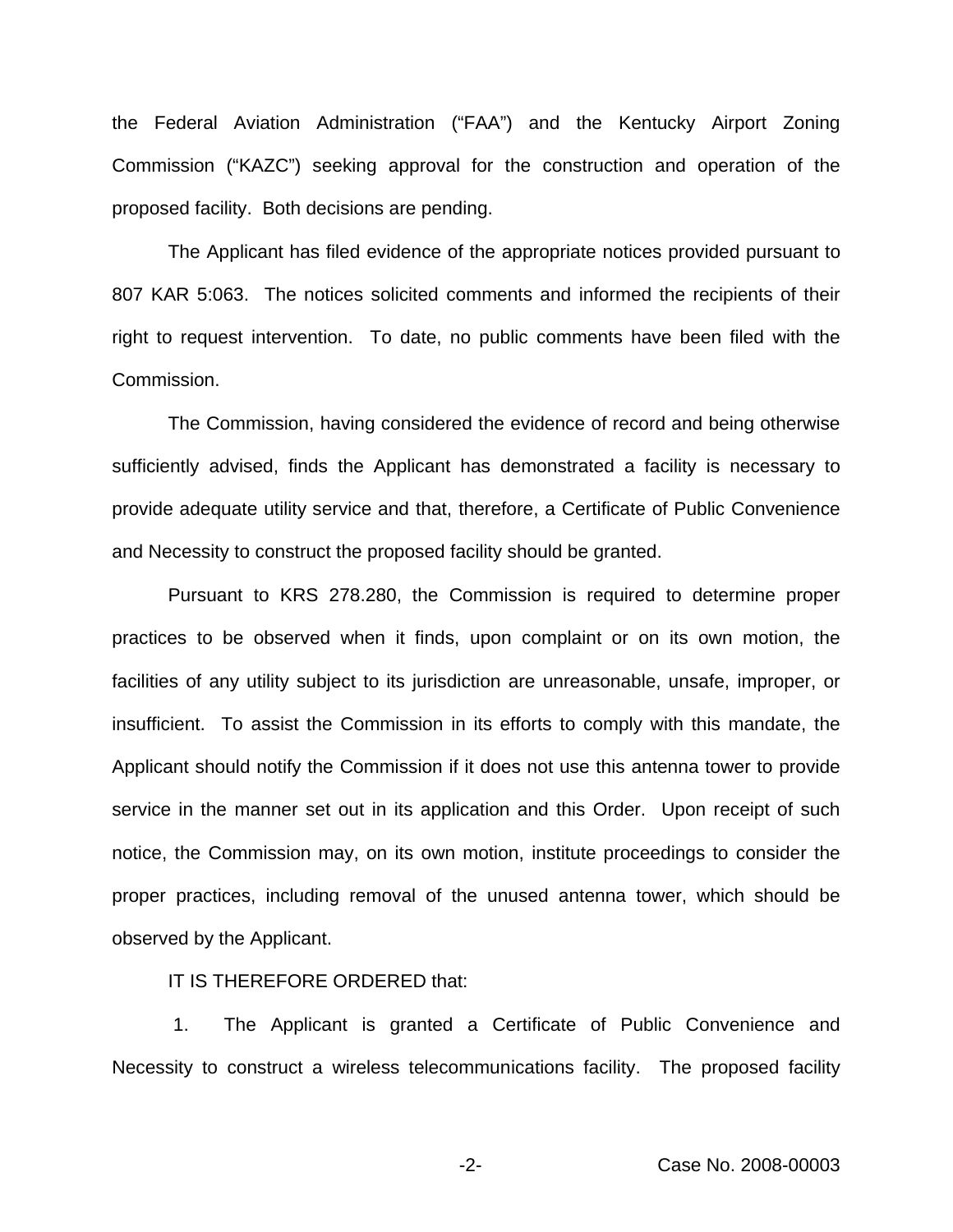the Federal Aviation Administration ("FAA") and the Kentucky Airport Zoning Commission ("KAZC") seeking approval for the construction and operation of the proposed facility. Both decisions are pending.

The Applicant has filed evidence of the appropriate notices provided pursuant to 807 KAR 5:063. The notices solicited comments and informed the recipients of their right to request intervention. To date, no public comments have been filed with the Commission.

The Commission, having considered the evidence of record and being otherwise sufficiently advised, finds the Applicant has demonstrated a facility is necessary to provide adequate utility service and that, therefore, a Certificate of Public Convenience and Necessity to construct the proposed facility should be granted.

Pursuant to KRS 278.280, the Commission is required to determine proper practices to be observed when it finds, upon complaint or on its own motion, the facilities of any utility subject to its jurisdiction are unreasonable, unsafe, improper, or insufficient. To assist the Commission in its efforts to comply with this mandate, the Applicant should notify the Commission if it does not use this antenna tower to provide service in the manner set out in its application and this Order. Upon receipt of such notice, the Commission may, on its own motion, institute proceedings to consider the proper practices, including removal of the unused antenna tower, which should be observed by the Applicant.

IT IS THEREFORE ORDERED that:

1. The Applicant is granted a Certificate of Public Convenience and Necessity to construct a wireless telecommunications facility. The proposed facility